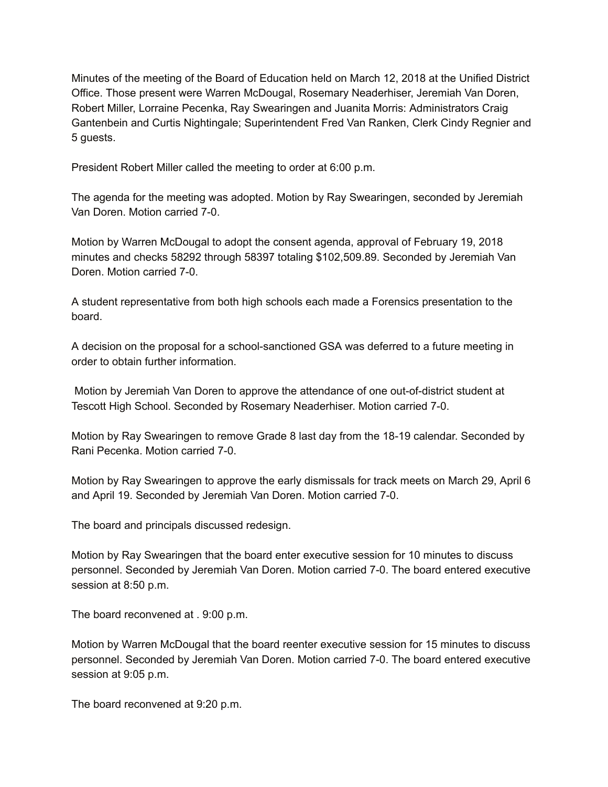Minutes of the meeting of the Board of Education held on March 12, 2018 at the Unified District Office. Those present were Warren McDougal, Rosemary Neaderhiser, Jeremiah Van Doren, Robert Miller, Lorraine Pecenka, Ray Swearingen and Juanita Morris: Administrators Craig Gantenbein and Curtis Nightingale; Superintendent Fred Van Ranken, Clerk Cindy Regnier and 5 guests.

President Robert Miller called the meeting to order at 6:00 p.m.

The agenda for the meeting was adopted. Motion by Ray Swearingen, seconded by Jeremiah Van Doren. Motion carried 7-0.

Motion by Warren McDougal to adopt the consent agenda, approval of February 19, 2018 minutes and checks 58292 through 58397 totaling \$102,509.89. Seconded by Jeremiah Van Doren. Motion carried 7-0.

A student representative from both high schools each made a Forensics presentation to the board.

A decision on the proposal for a school-sanctioned GSA was deferred to a future meeting in order to obtain further information.

Motion by Jeremiah Van Doren to approve the attendance of one out-of-district student at Tescott High School. Seconded by Rosemary Neaderhiser. Motion carried 7-0.

Motion by Ray Swearingen to remove Grade 8 last day from the 18-19 calendar. Seconded by Rani Pecenka. Motion carried 7-0.

Motion by Ray Swearingen to approve the early dismissals for track meets on March 29, April 6 and April 19. Seconded by Jeremiah Van Doren. Motion carried 7-0.

The board and principals discussed redesign.

Motion by Ray Swearingen that the board enter executive session for 10 minutes to discuss personnel. Seconded by Jeremiah Van Doren. Motion carried 7-0. The board entered executive session at 8:50 p.m.

The board reconvened at . 9:00 p.m.

Motion by Warren McDougal that the board reenter executive session for 15 minutes to discuss personnel. Seconded by Jeremiah Van Doren. Motion carried 7-0. The board entered executive session at 9:05 p.m.

The board reconvened at 9:20 p.m.